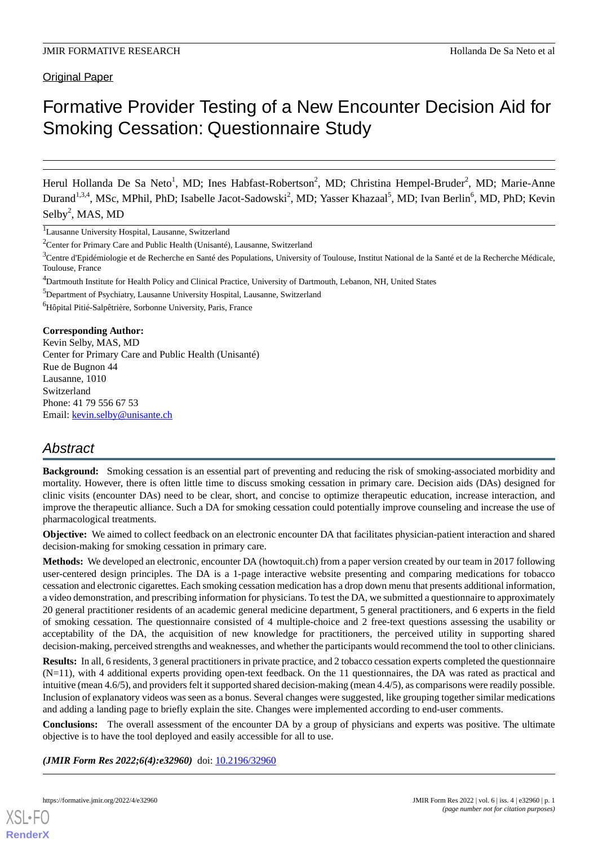Original Paper

# Formative Provider Testing of a New Encounter Decision Aid for Smoking Cessation: Questionnaire Study

Herul Hollanda De Sa Neto<sup>1</sup>, MD; Ines Habfast-Robertson<sup>2</sup>, MD; Christina Hempel-Bruder<sup>2</sup>, MD; Marie-Anne Durand<sup>1,3,4</sup>, MSc, MPhil, PhD; Isabelle Jacot-Sadowski<sup>2</sup>, MD; Yasser Khazaal<sup>5</sup>, MD; Ivan Berlin<sup>6</sup>, MD, PhD; Kevin  $Selby<sup>2</sup>$ , MAS, MD

<sup>1</sup>Lausanne University Hospital, Lausanne, Switzerland

<sup>5</sup>Department of Psychiatry, Lausanne University Hospital, Lausanne, Switzerland

<sup>6</sup>Hôpital Pitié-Salpêtrière, Sorbonne University, Paris, France

#### **Corresponding Author:**

Kevin Selby, MAS, MD Center for Primary Care and Public Health (Unisanté) Rue de Bugnon 44 Lausanne, 1010 Switzerland Phone: 41 79 556 67 53 Email: [kevin.selby@unisante.ch](mailto:kevin.selby@unisante.ch)

## *Abstract*

**Background:** Smoking cessation is an essential part of preventing and reducing the risk of smoking-associated morbidity and mortality. However, there is often little time to discuss smoking cessation in primary care. Decision aids (DAs) designed for clinic visits (encounter DAs) need to be clear, short, and concise to optimize therapeutic education, increase interaction, and improve the therapeutic alliance. Such a DA for smoking cessation could potentially improve counseling and increase the use of pharmacological treatments.

**Objective:** We aimed to collect feedback on an electronic encounter DA that facilitates physician-patient interaction and shared decision-making for smoking cessation in primary care.

**Methods:** We developed an electronic, encounter DA (howtoquit.ch) from a paper version created by our team in 2017 following user-centered design principles. The DA is a 1-page interactive website presenting and comparing medications for tobacco cessation and electronic cigarettes. Each smoking cessation medication has a drop down menu that presents additional information, a video demonstration, and prescribing information for physicians. To test the DA, we submitted a questionnaire to approximately 20 general practitioner residents of an academic general medicine department, 5 general practitioners, and 6 experts in the field of smoking cessation. The questionnaire consisted of 4 multiple-choice and 2 free-text questions assessing the usability or acceptability of the DA, the acquisition of new knowledge for practitioners, the perceived utility in supporting shared decision-making, perceived strengths and weaknesses, and whether the participants would recommend the tool to other clinicians.

**Results:** In all, 6 residents, 3 general practitioners in private practice, and 2 tobacco cessation experts completed the questionnaire (N=11), with 4 additional experts providing open-text feedback. On the 11 questionnaires, the DA was rated as practical and intuitive (mean 4.6/5), and providers felt it supported shared decision-making (mean 4.4/5), as comparisons were readily possible. Inclusion of explanatory videos was seen as a bonus. Several changes were suggested, like grouping together similar medications and adding a landing page to briefly explain the site. Changes were implemented according to end-user comments.

**Conclusions:** The overall assessment of the encounter DA by a group of physicians and experts was positive. The ultimate objective is to have the tool deployed and easily accessible for all to use.

*(JMIR Form Res 2022;6(4):e32960)* doi:  $10.2196/32960$ 

<sup>&</sup>lt;sup>2</sup>Center for Primary Care and Public Health (Unisanté), Lausanne, Switzerland

<sup>&</sup>lt;sup>3</sup>Centre d'Epidémiologie et de Recherche en Santé des Populations, University of Toulouse, Institut National de la Santé et de la Recherche Médicale, Toulouse, France

<sup>4</sup>Dartmouth Institute for Health Policy and Clinical Practice, University of Dartmouth, Lebanon, NH, United States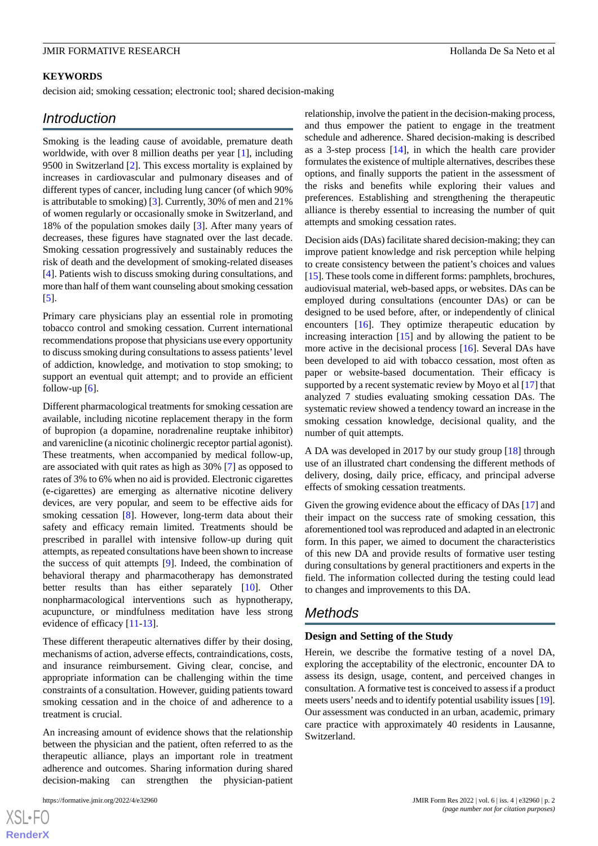#### **KEYWORDS**

decision aid; smoking cessation; electronic tool; shared decision-making

#### *Introduction*

Smoking is the leading cause of avoidable, premature death worldwide, with over 8 million deaths per year [[1\]](#page-6-0), including 9500 in Switzerland [\[2](#page-6-1)]. This excess mortality is explained by increases in cardiovascular and pulmonary diseases and of different types of cancer, including lung cancer (of which 90% is attributable to smoking) [[3\]](#page-6-2). Currently, 30% of men and 21% of women regularly or occasionally smoke in Switzerland, and 18% of the population smokes daily [[3\]](#page-6-2). After many years of decreases, these figures have stagnated over the last decade. Smoking cessation progressively and sustainably reduces the risk of death and the development of smoking-related diseases [[4\]](#page-7-0). Patients wish to discuss smoking during consultations, and more than half of them want counseling about smoking cessation [[5\]](#page-7-1).

Primary care physicians play an essential role in promoting tobacco control and smoking cessation. Current international recommendations propose that physicians use every opportunity to discuss smoking during consultations to assess patients'level of addiction, knowledge, and motivation to stop smoking; to support an eventual quit attempt; and to provide an efficient follow-up  $[6]$  $[6]$  $[6]$ .

Different pharmacological treatments for smoking cessation are available, including nicotine replacement therapy in the form of bupropion (a dopamine, noradrenaline reuptake inhibitor) and varenicline (a nicotinic cholinergic receptor partial agonist). These treatments, when accompanied by medical follow-up, are associated with quit rates as high as 30% [\[7](#page-7-3)] as opposed to rates of 3% to 6% when no aid is provided. Electronic cigarettes (e-cigarettes) are emerging as alternative nicotine delivery devices, are very popular, and seem to be effective aids for smoking cessation [\[8](#page-7-4)]. However, long-term data about their safety and efficacy remain limited. Treatments should be prescribed in parallel with intensive follow-up during quit attempts, as repeated consultations have been shown to increase the success of quit attempts [\[9](#page-7-5)]. Indeed, the combination of behavioral therapy and pharmacotherapy has demonstrated better results than has either separately [[10\]](#page-7-6). Other nonpharmacological interventions such as hypnotherapy, acupuncture, or mindfulness meditation have less strong evidence of efficacy [[11-](#page-7-7)[13\]](#page-7-8).

These different therapeutic alternatives differ by their dosing, mechanisms of action, adverse effects, contraindications, costs, and insurance reimbursement. Giving clear, concise, and appropriate information can be challenging within the time constraints of a consultation. However, guiding patients toward smoking cessation and in the choice of and adherence to a treatment is crucial.

An increasing amount of evidence shows that the relationship between the physician and the patient, often referred to as the therapeutic alliance, plays an important role in treatment adherence and outcomes. Sharing information during shared decision-making can strengthen the physician-patient

relationship, involve the patient in the decision-making process, and thus empower the patient to engage in the treatment schedule and adherence. Shared decision-making is described as a 3-step process [[14\]](#page-7-9), in which the health care provider formulates the existence of multiple alternatives, describes these options, and finally supports the patient in the assessment of the risks and benefits while exploring their values and preferences. Establishing and strengthening the therapeutic alliance is thereby essential to increasing the number of quit attempts and smoking cessation rates.

Decision aids (DAs) facilitate shared decision-making; they can improve patient knowledge and risk perception while helping to create consistency between the patient's choices and values [[15\]](#page-7-10). These tools come in different forms: pamphlets, brochures, audiovisual material, web-based apps, or websites. DAs can be employed during consultations (encounter DAs) or can be designed to be used before, after, or independently of clinical encounters [[16\]](#page-7-11). They optimize therapeutic education by increasing interaction  $[15]$  $[15]$  and by allowing the patient to be more active in the decisional process [\[16](#page-7-11)]. Several DAs have been developed to aid with tobacco cessation, most often as paper or website-based documentation. Their efficacy is supported by a recent systematic review by Moyo et al [\[17](#page-7-12)] that analyzed 7 studies evaluating smoking cessation DAs. The systematic review showed a tendency toward an increase in the smoking cessation knowledge, decisional quality, and the number of quit attempts.

A DA was developed in 2017 by our study group [[18\]](#page-7-13) through use of an illustrated chart condensing the different methods of delivery, dosing, daily price, efficacy, and principal adverse effects of smoking cessation treatments.

Given the growing evidence about the efficacy of DAs [[17\]](#page-7-12) and their impact on the success rate of smoking cessation, this aforementioned tool was reproduced and adapted in an electronic form. In this paper, we aimed to document the characteristics of this new DA and provide results of formative user testing during consultations by general practitioners and experts in the field. The information collected during the testing could lead to changes and improvements to this DA.

### *Methods*

#### **Design and Setting of the Study**

Herein, we describe the formative testing of a novel DA, exploring the acceptability of the electronic, encounter DA to assess its design, usage, content, and perceived changes in consultation. A formative test is conceived to assess if a product meets users'needs and to identify potential usability issues [\[19](#page-7-14)]. Our assessment was conducted in an urban, academic, primary care practice with approximately 40 residents in Lausanne, Switzerland.

 $XS$ -FO **[RenderX](http://www.renderx.com/)**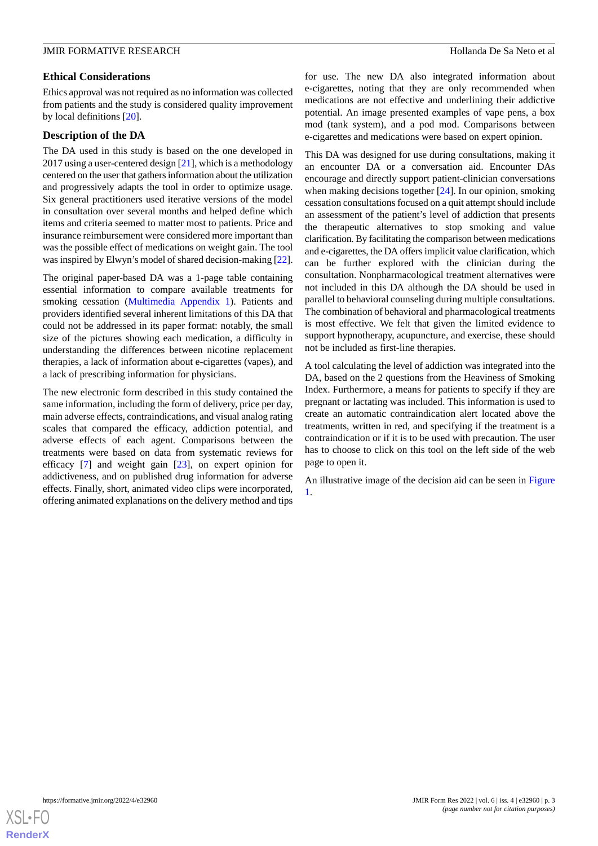#### **Ethical Considerations**

Ethics approval was not required as no information was collected from patients and the study is considered quality improvement by local definitions [\[20](#page-7-15)].

#### **Description of the DA**

The DA used in this study is based on the one developed in 2017 using a user-centered design  $[21]$  $[21]$ , which is a methodology centered on the user that gathers information about the utilization and progressively adapts the tool in order to optimize usage. Six general practitioners used iterative versions of the model in consultation over several months and helped define which items and criteria seemed to matter most to patients. Price and insurance reimbursement were considered more important than was the possible effect of medications on weight gain. The tool was inspired by Elwyn's model of shared decision-making [\[22\]](#page-7-17).

The original paper-based DA was a 1-page table containing essential information to compare available treatments for smoking cessation ([Multimedia Appendix 1](#page-6-3)). Patients and providers identified several inherent limitations of this DA that could not be addressed in its paper format: notably, the small size of the pictures showing each medication, a difficulty in understanding the differences between nicotine replacement therapies, a lack of information about e-cigarettes (vapes), and a lack of prescribing information for physicians.

The new electronic form described in this study contained the same information, including the form of delivery, price per day, main adverse effects, contraindications, and visual analog rating scales that compared the efficacy, addiction potential, and adverse effects of each agent. Comparisons between the treatments were based on data from systematic reviews for efficacy [\[7](#page-7-3)] and weight gain [\[23](#page-7-18)], on expert opinion for addictiveness, and on published drug information for adverse effects. Finally, short, animated video clips were incorporated, offering animated explanations on the delivery method and tips

for use. The new DA also integrated information about e-cigarettes, noting that they are only recommended when medications are not effective and underlining their addictive potential. An image presented examples of vape pens, a box mod (tank system), and a pod mod. Comparisons between e-cigarettes and medications were based on expert opinion.

This DA was designed for use during consultations, making it an encounter DA or a conversation aid. Encounter DAs encourage and directly support patient-clinician conversations when making decisions together [\[24](#page-7-19)]. In our opinion, smoking cessation consultations focused on a quit attempt should include an assessment of the patient's level of addiction that presents the therapeutic alternatives to stop smoking and value clarification. By facilitating the comparison between medications and e-cigarettes, the DA offers implicit value clarification, which can be further explored with the clinician during the consultation. Nonpharmacological treatment alternatives were not included in this DA although the DA should be used in parallel to behavioral counseling during multiple consultations. The combination of behavioral and pharmacological treatments is most effective. We felt that given the limited evidence to support hypnotherapy, acupuncture, and exercise, these should not be included as first-line therapies.

A tool calculating the level of addiction was integrated into the DA, based on the 2 questions from the Heaviness of Smoking Index. Furthermore, a means for patients to specify if they are pregnant or lactating was included. This information is used to create an automatic contraindication alert located above the treatments, written in red, and specifying if the treatment is a contraindication or if it is to be used with precaution. The user has to choose to click on this tool on the left side of the web page to open it.

An illustrative image of the decision aid can be seen in [Figure](#page-3-0) [1.](#page-3-0)

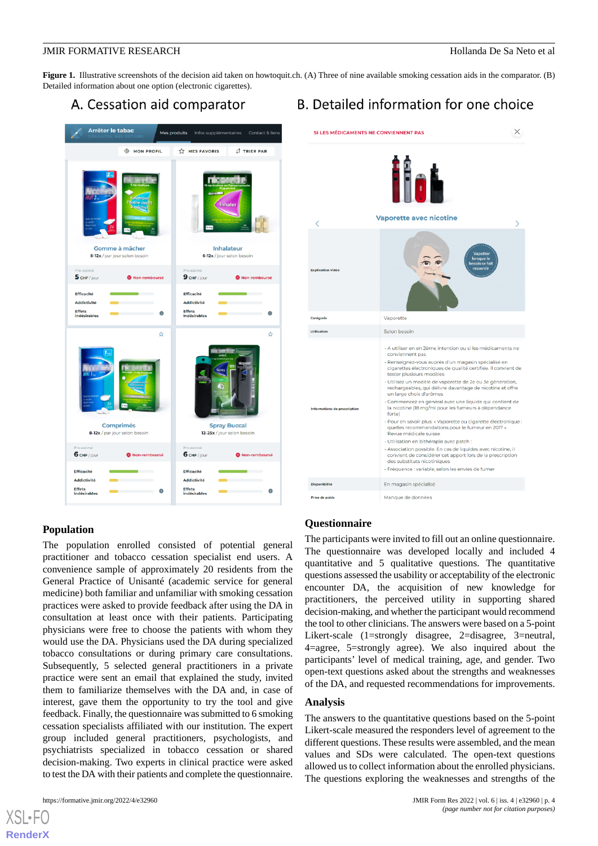<span id="page-3-0"></span>**Figure 1.** Illustrative screenshots of the decision aid taken on howtoquit.ch. (A) Three of nine available smoking cessation aids in the comparator. (B) Detailed information about one option (electronic cigarettes).

## A. Cessation aid comparator



## $\times$ SI LES MÉDICAMENTS NE CONVIENNENT PAS Vaporette avec nicotine Vanorette Selon besoin - A utiliser en en 2ème intention ou si les médicaments ne conviennent pas Renseignez-vous auprès d'un magasin spécialisé en cigarettes électroniques de qualité certifiée. Il convient de tester plusieurs modèles Utilisez un modèle de vaporette de 2e ou 3e génératior · Utilisez un modèle de vaporette de 2e ou 3e génération,<br>rechargeables, qui délivre davantage de nicotine et offre<br>un large choix d'arômes Commencez en général avec une liquide qui contient de la nicotine (18 mg/ml pour les fumeurs à dépendance .<br>Pour en savoir plus: « Vaporette ou cigarette électronique : andations pour le fumeur en 2017 Revue médicale suisse - Utilisation en bithérapie avec patch : Association possible. En cas de liquides avec nicotine, il convient de considérer cet apport lors de la prescription des substituts nicotiniques - Fréquence : variable, selon les envies de fumer En magasin spécialisé Prise de poid Manque de données

B. Detailed information for one choice

### **Population**

The population enrolled consisted of potential general practitioner and tobacco cessation specialist end users. A convenience sample of approximately 20 residents from the General Practice of Unisanté (academic service for general medicine) both familiar and unfamiliar with smoking cessation practices were asked to provide feedback after using the DA in consultation at least once with their patients. Participating physicians were free to choose the patients with whom they would use the DA. Physicians used the DA during specialized tobacco consultations or during primary care consultations. Subsequently, 5 selected general practitioners in a private practice were sent an email that explained the study, invited them to familiarize themselves with the DA and, in case of interest, gave them the opportunity to try the tool and give feedback. Finally, the questionnaire was submitted to 6 smoking cessation specialists affiliated with our institution. The expert group included general practitioners, psychologists, and psychiatrists specialized in tobacco cessation or shared decision-making. Two experts in clinical practice were asked to test the DA with their patients and complete the questionnaire.

[XSL](http://www.w3.org/Style/XSL)•FO **[RenderX](http://www.renderx.com/)**

#### **Questionnaire**

The participants were invited to fill out an online questionnaire. The questionnaire was developed locally and included 4 quantitative and 5 qualitative questions. The quantitative questions assessed the usability or acceptability of the electronic encounter DA, the acquisition of new knowledge for practitioners, the perceived utility in supporting shared decision-making, and whether the participant would recommend the tool to other clinicians. The answers were based on a 5-point Likert-scale (1=strongly disagree, 2=disagree, 3=neutral, 4=agree, 5=strongly agree). We also inquired about the participants' level of medical training, age, and gender. Two open-text questions asked about the strengths and weaknesses of the DA, and requested recommendations for improvements.

#### **Analysis**

The answers to the quantitative questions based on the 5-point Likert-scale measured the responders level of agreement to the different questions. These results were assembled, and the mean values and SDs were calculated. The open-text questions allowed us to collect information about the enrolled physicians. The questions exploring the weaknesses and strengths of the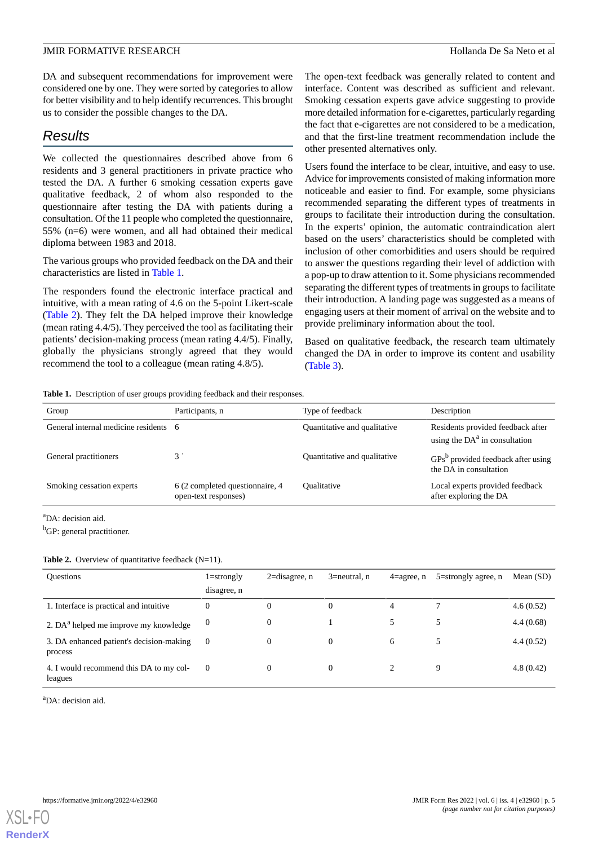DA and subsequent recommendations for improvement were considered one by one. They were sorted by categories to allow for better visibility and to help identify recurrences. This brought us to consider the possible changes to the DA.

## *Results*

We collected the questionnaires described above from 6 residents and 3 general practitioners in private practice who tested the DA. A further 6 smoking cessation experts gave qualitative feedback, 2 of whom also responded to the questionnaire after testing the DA with patients during a consultation. Of the 11 people who completed the questionnaire, 55% (n=6) were women, and all had obtained their medical diploma between 1983 and 2018.

The various groups who provided feedback on the DA and their characteristics are listed in [Table 1.](#page-4-0)

The responders found the electronic interface practical and intuitive, with a mean rating of 4.6 on the 5-point Likert-scale ([Table 2](#page-4-1)). They felt the DA helped improve their knowledge (mean rating 4.4/5). They perceived the tool as facilitating their patients' decision-making process (mean rating 4.4/5). Finally, globally the physicians strongly agreed that they would recommend the tool to a colleague (mean rating 4.8/5).

The open-text feedback was generally related to content and interface. Content was described as sufficient and relevant. Smoking cessation experts gave advice suggesting to provide more detailed information for e-cigarettes, particularly regarding the fact that e-cigarettes are not considered to be a medication, and that the first-line treatment recommendation include the other presented alternatives only.

Users found the interface to be clear, intuitive, and easy to use. Advice for improvements consisted of making information more noticeable and easier to find. For example, some physicians recommended separating the different types of treatments in groups to facilitate their introduction during the consultation. In the experts' opinion, the automatic contraindication alert based on the users' characteristics should be completed with inclusion of other comorbidities and users should be required to answer the questions regarding their level of addiction with a pop-up to draw attention to it. Some physicians recommended separating the different types of treatments in groups to facilitate their introduction. A landing page was suggested as a means of engaging users at their moment of arrival on the website and to provide preliminary information about the tool.

Based on qualitative feedback, the research team ultimately changed the DA in order to improve its content and usability ([Table 3](#page-5-0)).

<span id="page-4-0"></span>**Table 1.** Description of user groups providing feedback and their responses.

| Group                                 | Participants, n                                         | Type of feedback             | Description                                                          |
|---------------------------------------|---------------------------------------------------------|------------------------------|----------------------------------------------------------------------|
| General internal medicine residents 6 |                                                         | Quantitative and qualitative | Residents provided feedback after<br>using the $DAa$ in consultation |
| General practitioners                 |                                                         | Quantitative and qualitative | $GPsb$ provided feedback after using<br>the DA in consultation       |
| Smoking cessation experts             | 6 (2 completed questionnaire, 4<br>open-text responses) | Oualitative                  | Local experts provided feedback<br>after exploring the DA            |

<span id="page-4-1"></span><sup>a</sup>DA: decision aid.

<sup>b</sup>GP: general practitioner.

#### Table 2. Overview of quantitative feedback (N=11).

| <b>Ouestions</b>                                    | $1 =$ strongly<br>disagree, n | $2 =$ disagree, n | $3$ =neutral, n | $4$ =agree, n | $5 =$ strongly agree, n | Mean $(SD)$ |
|-----------------------------------------------------|-------------------------------|-------------------|-----------------|---------------|-------------------------|-------------|
| 1. Interface is practical and intuitive             | $\theta$                      | $\Omega$          | 0               | 4             |                         | 4.6(0.52)   |
| 2. DA <sup>a</sup> helped me improve my knowledge   | 0                             | 0                 |                 |               | 5                       | 4.4(0.68)   |
| 3. DA enhanced patient's decision-making<br>process | $\overline{0}$                | $\Omega$          | 0               | 6             | 5                       | 4.4(0.52)   |
| 4. I would recommend this DA to my col-<br>leagues  | $\theta$                      | 0                 | 0               |               | 9                       | 4.8(0.42)   |

 $a_{DA}$ : decision aid.

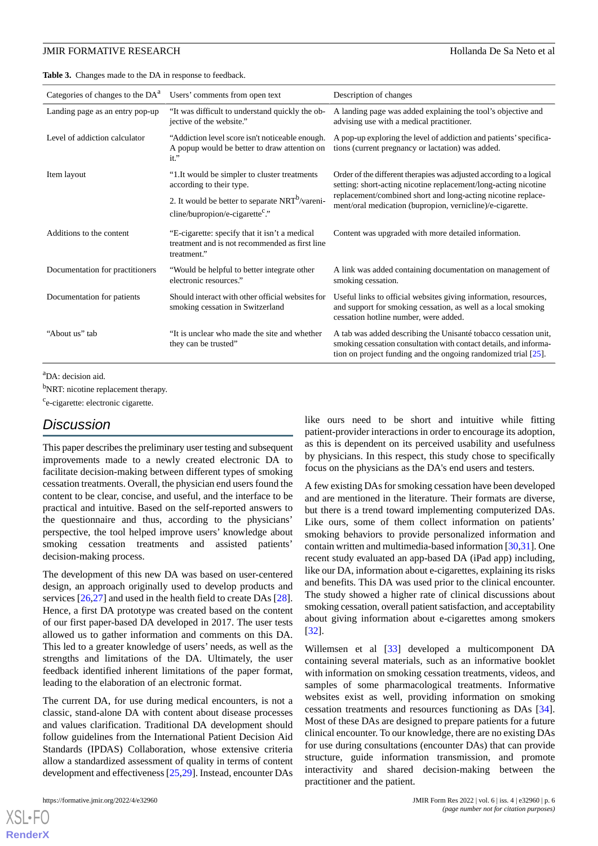<span id="page-5-0"></span>**Table 3.** Changes made to the DA in response to feedback.

| Categories of changes to the DA <sup>a</sup> | Users' comments from open text                                                                                 | Description of changes                                                                                                                                                                                 |
|----------------------------------------------|----------------------------------------------------------------------------------------------------------------|--------------------------------------------------------------------------------------------------------------------------------------------------------------------------------------------------------|
| Landing page as an entry pop-up              | "It was difficult to understand quickly the ob-<br>jective of the website."                                    | A landing page was added explaining the tool's objective and<br>advising use with a medical practitioner.                                                                                              |
| Level of addiction calculator                | "Addiction level score isn't noticeable enough.<br>A popup would be better to draw attention on<br>$it$ ."     | A pop-up exploring the level of addiction and patients' specifica-<br>tions (current pregnancy or lactation) was added.                                                                                |
| Item layout                                  | "1. It would be simpler to cluster treatments<br>according to their type.                                      | Order of the different therapies was adjusted according to a logical<br>setting: short-acting nicotine replacement/long-acting nicotine                                                                |
|                                              | 2. It would be better to separate NRT <sup>b</sup> /vareni-<br>cline/bupropion/e-cigarette <sup>c</sup> ."     | replacement/combined short and long-acting nicotine replace-<br>ment/oral medication (bupropion, vernicline)/e-cigarette.                                                                              |
| Additions to the content                     | "E-cigarette: specify that it isn't a medical<br>treatment and is not recommended as first line<br>treatment." | Content was upgraded with more detailed information.                                                                                                                                                   |
| Documentation for practitioners              | "Would be helpful to better integrate other<br>electronic resources."                                          | A link was added containing documentation on management of<br>smoking cessation.                                                                                                                       |
| Documentation for patients                   | Should interact with other official websites for<br>smoking cessation in Switzerland                           | Useful links to official websites giving information, resources,<br>and support for smoking cessation, as well as a local smoking<br>cessation hotline number, were added.                             |
| "About us" tab                               | "It is unclear who made the site and whether<br>they can be trusted"                                           | A tab was added describing the Unisanté tobacco cessation unit,<br>smoking cessation consultation with contact details, and informa-<br>tion on project funding and the ongoing randomized trial [25]. |
|                                              |                                                                                                                |                                                                                                                                                                                                        |

<sup>a</sup>DA: decision aid.

<sup>b</sup>NRT: nicotine replacement therapy.

<sup>c</sup>e-cigarette: electronic cigarette.

## *Discussion*

This paper describes the preliminary user testing and subsequent improvements made to a newly created electronic DA to facilitate decision-making between different types of smoking cessation treatments. Overall, the physician end users found the content to be clear, concise, and useful, and the interface to be practical and intuitive. Based on the self-reported answers to the questionnaire and thus, according to the physicians' perspective, the tool helped improve users' knowledge about smoking cessation treatments and assisted patients' decision-making process.

The development of this new DA was based on user-centered design, an approach originally used to develop products and services [\[26](#page-7-21),[27\]](#page-7-22) and used in the health field to create DAs [[28\]](#page-7-23). Hence, a first DA prototype was created based on the content of our first paper-based DA developed in 2017. The user tests allowed us to gather information and comments on this DA. This led to a greater knowledge of users' needs, as well as the strengths and limitations of the DA. Ultimately, the user feedback identified inherent limitations of the paper format, leading to the elaboration of an electronic format.

The current DA, for use during medical encounters, is not a classic, stand-alone DA with content about disease processes and values clarification. Traditional DA development should follow guidelines from the International Patient Decision Aid Standards (IPDAS) Collaboration, whose extensive criteria allow a standardized assessment of quality in terms of content development and effectiveness [[25](#page-7-20)[,29](#page-7-24)]. Instead, encounter DAs

[XSL](http://www.w3.org/Style/XSL)•FO **[RenderX](http://www.renderx.com/)**

like ours need to be short and intuitive while fitting patient-provider interactions in order to encourage its adoption, as this is dependent on its perceived usability and usefulness by physicians. In this respect, this study chose to specifically focus on the physicians as the DA's end users and testers.

A few existing DAs for smoking cessation have been developed and are mentioned in the literature. Their formats are diverse, but there is a trend toward implementing computerized DAs. Like ours, some of them collect information on patients' smoking behaviors to provide personalized information and contain written and multimedia-based information [\[30](#page-8-0),[31](#page-8-1)]. One recent study evaluated an app-based DA (iPad app) including, like our DA, information about e-cigarettes, explaining its risks and benefits. This DA was used prior to the clinical encounter. The study showed a higher rate of clinical discussions about smoking cessation, overall patient satisfaction, and acceptability about giving information about e-cigarettes among smokers [[32\]](#page-8-2).

Willemsen et al [[33\]](#page-8-3) developed a multicomponent DA containing several materials, such as an informative booklet with information on smoking cessation treatments, videos, and samples of some pharmacological treatments. Informative websites exist as well, providing information on smoking cessation treatments and resources functioning as DAs [[34\]](#page-8-4). Most of these DAs are designed to prepare patients for a future clinical encounter. To our knowledge, there are no existing DAs for use during consultations (encounter DAs) that can provide structure, guide information transmission, and promote interactivity and shared decision-making between the practitioner and the patient.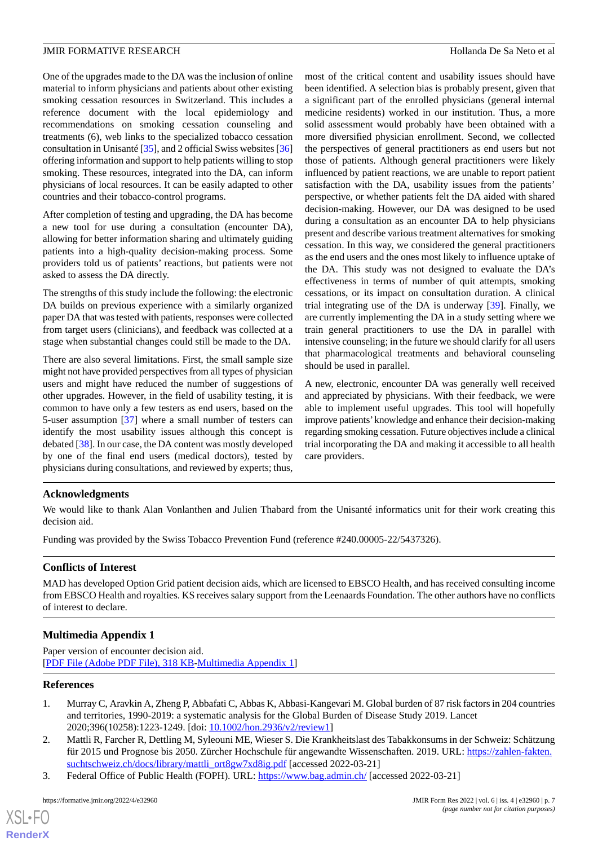One of the upgrades made to the DA was the inclusion of online material to inform physicians and patients about other existing smoking cessation resources in Switzerland. This includes a reference document with the local epidemiology and recommendations on smoking cessation counseling and treatments (6), web links to the specialized tobacco cessation consultation in Unisanté [\[35\]](#page-8-5), and 2 official Swiss websites [\[36](#page-8-6)] offering information and support to help patients willing to stop smoking. These resources, integrated into the DA, can inform physicians of local resources. It can be easily adapted to other countries and their tobacco-control programs.

After completion of testing and upgrading, the DA has become a new tool for use during a consultation (encounter DA), allowing for better information sharing and ultimately guiding patients into a high-quality decision-making process. Some providers told us of patients' reactions, but patients were not asked to assess the DA directly.

The strengths of this study include the following: the electronic DA builds on previous experience with a similarly organized paper DA that was tested with patients, responses were collected from target users (clinicians), and feedback was collected at a stage when substantial changes could still be made to the DA.

There are also several limitations. First, the small sample size might not have provided perspectives from all types of physician users and might have reduced the number of suggestions of other upgrades. However, in the field of usability testing, it is common to have only a few testers as end users, based on the 5-user assumption [[37\]](#page-8-7) where a small number of testers can identify the most usability issues although this concept is debated [[38\]](#page-8-8). In our case, the DA content was mostly developed by one of the final end users (medical doctors), tested by physicians during consultations, and reviewed by experts; thus,

most of the critical content and usability issues should have been identified. A selection bias is probably present, given that a significant part of the enrolled physicians (general internal medicine residents) worked in our institution. Thus, a more solid assessment would probably have been obtained with a more diversified physician enrollment. Second, we collected the perspectives of general practitioners as end users but not those of patients. Although general practitioners were likely influenced by patient reactions, we are unable to report patient satisfaction with the DA, usability issues from the patients' perspective, or whether patients felt the DA aided with shared decision-making. However, our DA was designed to be used during a consultation as an encounter DA to help physicians present and describe various treatment alternatives for smoking cessation. In this way, we considered the general practitioners as the end users and the ones most likely to influence uptake of the DA. This study was not designed to evaluate the DA's effectiveness in terms of number of quit attempts, smoking cessations, or its impact on consultation duration. A clinical trial integrating use of the DA is underway [\[39](#page-8-9)]. Finally, we are currently implementing the DA in a study setting where we train general practitioners to use the DA in parallel with intensive counseling; in the future we should clarify for all users that pharmacological treatments and behavioral counseling should be used in parallel.

A new, electronic, encounter DA was generally well received and appreciated by physicians. With their feedback, we were able to implement useful upgrades. This tool will hopefully improve patients'knowledge and enhance their decision-making regarding smoking cessation. Future objectives include a clinical trial incorporating the DA and making it accessible to all health care providers.

#### **Acknowledgments**

We would like to thank Alan Vonlanthen and Julien Thabard from the Unisanté informatics unit for their work creating this decision aid.

Funding was provided by the Swiss Tobacco Prevention Fund (reference #240.00005-22/5437326).

#### <span id="page-6-3"></span>**Conflicts of Interest**

MAD has developed Option Grid patient decision aids, which are licensed to EBSCO Health, and has received consulting income from EBSCO Health and royalties. KS receives salary support from the Leenaards Foundation. The other authors have no conflicts of interest to declare.

#### <span id="page-6-0"></span>**Multimedia Appendix 1**

<span id="page-6-1"></span>Paper version of encounter decision aid. [[PDF File \(Adobe PDF File\), 318 KB](https://jmir.org/api/download?alt_name=formative_v6i4e32960_app1.pdf&filename=17a534a4230060887f0a8d11750085e9.pdf)-[Multimedia Appendix 1\]](https://jmir.org/api/download?alt_name=formative_v6i4e32960_app1.pdf&filename=17a534a4230060887f0a8d11750085e9.pdf)

#### **References**

[XSL](http://www.w3.org/Style/XSL)•FO **[RenderX](http://www.renderx.com/)**

- <span id="page-6-2"></span>1. Murray C, Aravkin A, Zheng P, Abbafati C, Abbas K, Abbasi-Kangevari M. Global burden of 87 risk factors in 204 countries and territories, 1990-2019: a systematic analysis for the Global Burden of Disease Study 2019. Lancet 2020;396(10258):1223-1249. [doi: [10.1002/hon.2936/v2/review1](http://dx.doi.org/10.1002/hon.2936/v2/review1)]
- 2. Mattli R, Farcher R, Dettling M, Syleouni ME, Wieser S. Die Krankheitslast des Tabakkonsums in der Schweiz: Schätzung für 2015 und Prognose bis 2050. Zürcher Hochschule für angewandte Wissenschaften. 2019. URL: [https://zahlen-fakten.](https://zahlen-fakten.suchtschweiz.ch/docs/library/mattli_ort8gw7xd8ig.pdf) [suchtschweiz.ch/docs/library/mattli\\_ort8gw7xd8ig.pdf](https://zahlen-fakten.suchtschweiz.ch/docs/library/mattli_ort8gw7xd8ig.pdf) [accessed 2022-03-21]
- 3. Federal Office of Public Health (FOPH). URL:<https://www.bag.admin.ch/> [accessed 2022-03-21]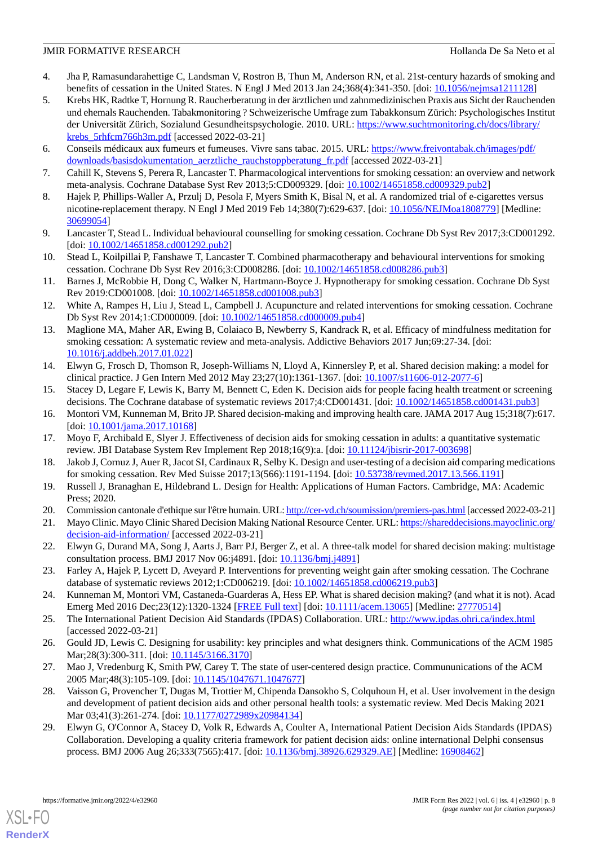- <span id="page-7-0"></span>4. Jha P, Ramasundarahettige C, Landsman V, Rostron B, Thun M, Anderson RN, et al. 21st-century hazards of smoking and benefits of cessation in the United States. N Engl J Med 2013 Jan 24;368(4):341-350. [doi: [10.1056/nejmsa1211128](http://dx.doi.org/10.1056/nejmsa1211128)]
- <span id="page-7-1"></span>5. Krebs HK, Radtke T, Hornung R. Raucherberatung in der ärztlichen und zahnmedizinischen Praxis aus Sicht der Rauchenden und ehemals Rauchenden. Tabakmonitoring ? Schweizerische Umfrage zum Tabakkonsum Zürich: Psychologisches Institut der Universität Zürich, Sozialund Gesundheitspsychologie. 2010. URL: [https://www.suchtmonitoring.ch/docs/library/](https://www.suchtmonitoring.ch/docs/library/krebs_5rhfcm766h3m.pdf) [krebs\\_5rhfcm766h3m.pdf](https://www.suchtmonitoring.ch/docs/library/krebs_5rhfcm766h3m.pdf) [accessed 2022-03-21]
- <span id="page-7-3"></span><span id="page-7-2"></span>6. Conseils médicaux aux fumeurs et fumeuses. Vivre sans tabac. 2015. URL: [https://www.freivontabak.ch/images/pdf/](https://www.freivontabak.ch/images/pdf/downloads/basisdokumentation_aerztliche_rauchstoppberatung_fr.pdf) [downloads/basisdokumentation\\_aerztliche\\_rauchstoppberatung\\_fr.pdf](https://www.freivontabak.ch/images/pdf/downloads/basisdokumentation_aerztliche_rauchstoppberatung_fr.pdf) [accessed 2022-03-21]
- <span id="page-7-4"></span>7. Cahill K, Stevens S, Perera R, Lancaster T. Pharmacological interventions for smoking cessation: an overview and network meta-analysis. Cochrane Database Syst Rev 2013;5:CD009329. [doi: [10.1002/14651858.cd009329.pub2](http://dx.doi.org/10.1002/14651858.cd009329.pub2)]
- <span id="page-7-5"></span>8. Hajek P, Phillips-Waller A, Przulj D, Pesola F, Myers Smith K, Bisal N, et al. A randomized trial of e-cigarettes versus nicotine-replacement therapy. N Engl J Med 2019 Feb 14;380(7):629-637. [doi: [10.1056/NEJMoa1808779\]](http://dx.doi.org/10.1056/NEJMoa1808779) [Medline: [30699054](http://www.ncbi.nlm.nih.gov/entrez/query.fcgi?cmd=Retrieve&db=PubMed&list_uids=30699054&dopt=Abstract)]
- <span id="page-7-6"></span>9. Lancaster T, Stead L. Individual behavioural counselling for smoking cessation. Cochrane Db Syst Rev 2017;3:CD001292. [doi: [10.1002/14651858.cd001292.pub2\]](http://dx.doi.org/10.1002/14651858.cd001292.pub2)
- <span id="page-7-7"></span>10. Stead L, Koilpillai P, Fanshawe T, Lancaster T. Combined pharmacotherapy and behavioural interventions for smoking cessation. Cochrane Db Syst Rev 2016;3:CD008286. [doi: [10.1002/14651858.cd008286.pub3](http://dx.doi.org/10.1002/14651858.cd008286.pub3)]
- 11. Barnes J, McRobbie H, Dong C, Walker N, Hartmann-Boyce J. Hypnotherapy for smoking cessation. Cochrane Db Syst Rev 2019:CD001008. [doi: [10.1002/14651858.cd001008.pub3\]](http://dx.doi.org/10.1002/14651858.cd001008.pub3)
- <span id="page-7-8"></span>12. White A, Rampes H, Liu J, Stead L, Campbell J. Acupuncture and related interventions for smoking cessation. Cochrane Db Syst Rev 2014;1:CD000009. [doi: [10.1002/14651858.cd000009.pub4\]](http://dx.doi.org/10.1002/14651858.cd000009.pub4)
- <span id="page-7-9"></span>13. Maglione MA, Maher AR, Ewing B, Colaiaco B, Newberry S, Kandrack R, et al. Efficacy of mindfulness meditation for smoking cessation: A systematic review and meta-analysis. Addictive Behaviors 2017 Jun;69:27-34. [doi: [10.1016/j.addbeh.2017.01.022](http://dx.doi.org/10.1016/j.addbeh.2017.01.022)]
- <span id="page-7-11"></span><span id="page-7-10"></span>14. Elwyn G, Frosch D, Thomson R, Joseph-Williams N, Lloyd A, Kinnersley P, et al. Shared decision making: a model for clinical practice. J Gen Intern Med 2012 May 23;27(10):1361-1367. [doi: [10.1007/s11606-012-2077-6](http://dx.doi.org/10.1007/s11606-012-2077-6)]
- <span id="page-7-12"></span>15. Stacey D, Legare F, Lewis K, Barry M, Bennett C, Eden K. Decision aids for people facing health treatment or screening decisions. The Cochrane database of systematic reviews 2017;4:CD001431. [doi: [10.1002/14651858.cd001431.pub3\]](http://dx.doi.org/10.1002/14651858.cd001431.pub3)
- <span id="page-7-13"></span>16. Montori VM, Kunneman M, Brito JP. Shared decision-making and improving health care. JAMA 2017 Aug 15;318(7):617. [doi: [10.1001/jama.2017.10168\]](http://dx.doi.org/10.1001/jama.2017.10168)
- <span id="page-7-14"></span>17. Moyo F, Archibald E, Slyer J. Effectiveness of decision aids for smoking cessation in adults: a quantitative systematic review. JBI Database System Rev Implement Rep 2018;16(9):a. [doi: [10.11124/jbisrir-2017-003698](http://dx.doi.org/10.11124/jbisrir-2017-003698)]
- <span id="page-7-16"></span><span id="page-7-15"></span>18. Jakob J, Cornuz J, Auer R, Jacot SI, Cardinaux R, Selby K. Design and user-testing of a decision aid comparing medications for smoking cessation. Rev Med Suisse 2017;13(566):1191-1194. [doi: [10.53738/revmed.2017.13.566.1191](http://dx.doi.org/10.53738/revmed.2017.13.566.1191)]
- <span id="page-7-17"></span>19. Russell J, Branaghan E, Hildebrand L. Design for Health: Applications of Human Factors. Cambridge, MA: Academic Press; 2020.
- <span id="page-7-18"></span>20. Commission cantonale d'ethique sur l'être humain. URL:<http://cer-vd.ch/soumission/premiers-pas.html> [accessed 2022-03-21]
- 21. Mayo Clinic. Mayo Clinic Shared Decision Making National Resource Center. URL: [https://shareddecisions.mayoclinic.org/](https://shareddecisions.mayoclinic.org/decision-aid-information/) [decision-aid-information/](https://shareddecisions.mayoclinic.org/decision-aid-information/) [accessed 2022-03-21]
- <span id="page-7-20"></span><span id="page-7-19"></span>22. Elwyn G, Durand MA, Song J, Aarts J, Barr PJ, Berger Z, et al. A three-talk model for shared decision making: multistage consultation process. BMJ 2017 Nov 06:j4891. [doi: [10.1136/bmj.j4891\]](http://dx.doi.org/10.1136/bmj.j4891)
- <span id="page-7-21"></span>23. Farley A, Hajek P, Lycett D, Aveyard P. Interventions for preventing weight gain after smoking cessation. The Cochrane database of systematic reviews 2012;1:CD006219. [doi: [10.1002/14651858.cd006219.pub3\]](http://dx.doi.org/10.1002/14651858.cd006219.pub3)
- <span id="page-7-22"></span>24. Kunneman M, Montori VM, Castaneda-Guarderas A, Hess EP. What is shared decision making? (and what it is not). Acad Emerg Med 2016 Dec;23(12):1320-1324 [\[FREE Full text\]](https://doi.org/10.1111/acem.13065) [doi: [10.1111/acem.13065\]](http://dx.doi.org/10.1111/acem.13065) [Medline: [27770514\]](http://www.ncbi.nlm.nih.gov/entrez/query.fcgi?cmd=Retrieve&db=PubMed&list_uids=27770514&dopt=Abstract)
- <span id="page-7-23"></span>25. The International Patient Decision Aid Standards (IPDAS) Collaboration. URL: <http://www.ipdas.ohri.ca/index.html> [accessed 2022-03-21]
- <span id="page-7-24"></span>26. Gould JD, Lewis C. Designing for usability: key principles and what designers think. Communications of the ACM 1985 Mar;28(3):300-311. [doi: [10.1145/3166.3170\]](http://dx.doi.org/10.1145/3166.3170)
- 27. Mao J, Vredenburg K, Smith PW, Carey T. The state of user-centered design practice. Commununications of the ACM 2005 Mar;48(3):105-109. [doi: [10.1145/1047671.1047677](http://dx.doi.org/10.1145/1047671.1047677)]
- 28. Vaisson G, Provencher T, Dugas M, Trottier M, Chipenda Dansokho S, Colquhoun H, et al. User involvement in the design and development of patient decision aids and other personal health tools: a systematic review. Med Decis Making 2021 Mar 03;41(3):261-274. [doi: [10.1177/0272989x20984134\]](http://dx.doi.org/10.1177/0272989x20984134)
- 29. Elwyn G, O'Connor A, Stacey D, Volk R, Edwards A, Coulter A, International Patient Decision Aids Standards (IPDAS) Collaboration. Developing a quality criteria framework for patient decision aids: online international Delphi consensus process. BMJ 2006 Aug 26;333(7565):417. [doi: [10.1136/bmj.38926.629329.AE\]](http://dx.doi.org/10.1136/bmj.38926.629329.AE) [Medline: [16908462\]](http://www.ncbi.nlm.nih.gov/entrez/query.fcgi?cmd=Retrieve&db=PubMed&list_uids=16908462&dopt=Abstract)

[XSL](http://www.w3.org/Style/XSL)•FO **[RenderX](http://www.renderx.com/)**